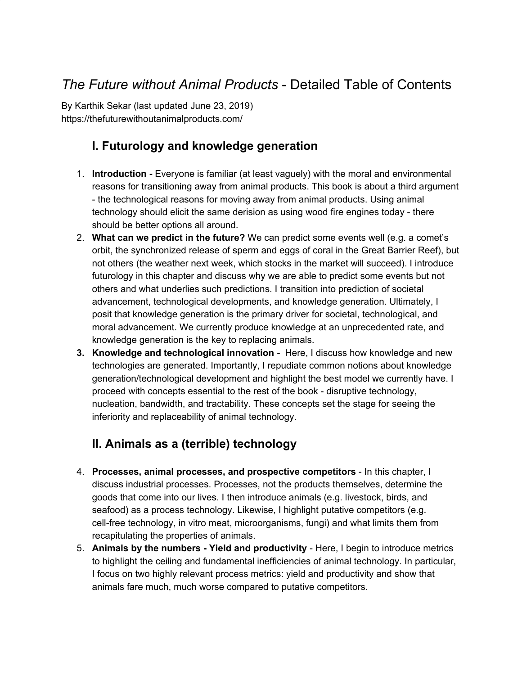# *The Future without Animal Products* - Detailed Table of Contents

By Karthik Sekar (last updated June 23, 2019) https://thefuturewithoutanimalproducts.com/

## **I. Futurology and knowledge generation**

- 1. **Introduction -** Everyone is familiar (at least vaguely) with the moral and environmental reasons for transitioning away from animal products. This book is about a third argument - the technological reasons for moving away from animal products. Using animal technology should elicit the same derision as using wood fire engines today - there should be better options all around.
- 2. **What can we predict in the future?** We can predict some events well (e.g. a comet's orbit, the synchronized release of sperm and eggs of coral in the Great Barrier Reef), but not others (the weather next week, which stocks in the market will succeed). I introduce futurology in this chapter and discuss why we are able to predict some events but not others and what underlies such predictions. I transition into prediction of societal advancement, technological developments, and knowledge generation. Ultimately, I posit that knowledge generation is the primary driver for societal, technological, and moral advancement. We currently produce knowledge at an unprecedented rate, and knowledge generation is the key to replacing animals.
- **3. Knowledge and technological innovation -** Here, I discuss how knowledge and new technologies are generated. Importantly, I repudiate common notions about knowledge generation/technological development and highlight the best model we currently have. I proceed with concepts essential to the rest of the book - disruptive technology, nucleation, bandwidth, and tractability. These concepts set the stage for seeing the inferiority and replaceability of animal technology.

## **II. Animals as a (terrible) technology**

- 4. **Processes, animal processes, and prospective competitors** In this chapter, I discuss industrial processes. Processes, not the products themselves, determine the goods that come into our lives. I then introduce animals (e.g. livestock, birds, and seafood) as a process technology. Likewise, I highlight putative competitors (e.g. cell-free technology, in vitro meat, microorganisms, fungi) and what limits them from recapitulating the properties of animals.
- 5. **Animals by the numbers - Yield and productivity** Here, I begin to introduce metrics to highlight the ceiling and fundamental inefficiencies of animal technology. In particular, I focus on two highly relevant process metrics: yield and productivity and show that animals fare much, much worse compared to putative competitors.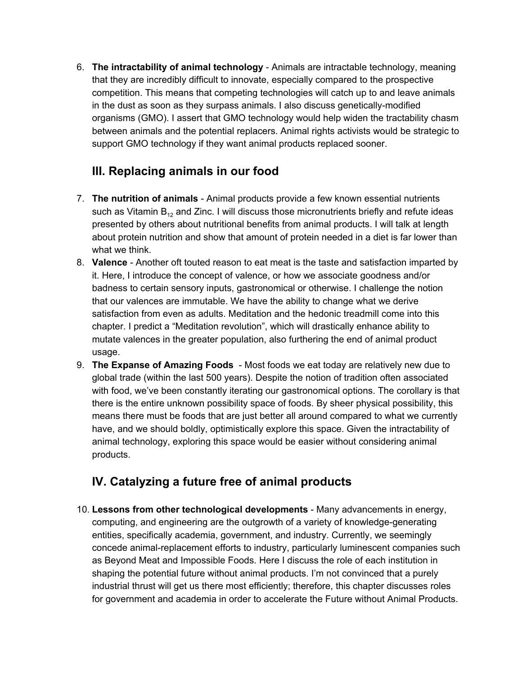6. **The intractability of animal technology** - Animals are intractable technology, meaning that they are incredibly difficult to innovate, especially compared to the prospective competition. This means that competing technologies will catch up to and leave animals in the dust as soon as they surpass animals. I also discuss genetically-modified organisms (GMO). I assert that GMO technology would help widen the tractability chasm between animals and the potential replacers. Animal rights activists would be strategic to support GMO technology if they want animal products replaced sooner.

### **III. Replacing animals in our food**

- 7. **The nutrition of animals** Animal products provide a few known essential nutrients such as Vitamin  $B_{12}$  and Zinc. I will discuss those micronutrients briefly and refute ideas presented by others about nutritional benefits from animal products. I will talk at length about protein nutrition and show that amount of protein needed in a diet is far lower than what we think.
- 8. **Valence** Another oft touted reason to eat meat is the taste and satisfaction imparted by it. Here, I introduce the concept of valence, or how we associate goodness and/or badness to certain sensory inputs, gastronomical or otherwise. I challenge the notion that our valences are immutable. We have the ability to change what we derive satisfaction from even as adults. Meditation and the hedonic treadmill come into this chapter. I predict a "Meditation revolution", which will drastically enhance ability to mutate valences in the greater population, also furthering the end of animal product usage.
- 9. **The Expanse of Amazing Foods** Most foods we eat today are relatively new due to global trade (within the last 500 years). Despite the notion of tradition often associated with food, we've been constantly iterating our gastronomical options. The corollary is that there is the entire unknown possibility space of foods. By sheer physical possibility, this means there must be foods that are just better all around compared to what we currently have, and we should boldly, optimistically explore this space. Given the intractability of animal technology, exploring this space would be easier without considering animal products.

### **IV. Catalyzing a future free of animal products**

10. **Lessons from other technological developments** - Many advancements in energy, computing, and engineering are the outgrowth of a variety of knowledge-generating entities, specifically academia, government, and industry. Currently, we seemingly concede animal-replacement efforts to industry, particularly luminescent companies such as Beyond Meat and Impossible Foods. Here I discuss the role of each institution in shaping the potential future without animal products. I'm not convinced that a purely industrial thrust will get us there most efficiently; therefore, this chapter discusses roles for government and academia in order to accelerate the Future without Animal Products.